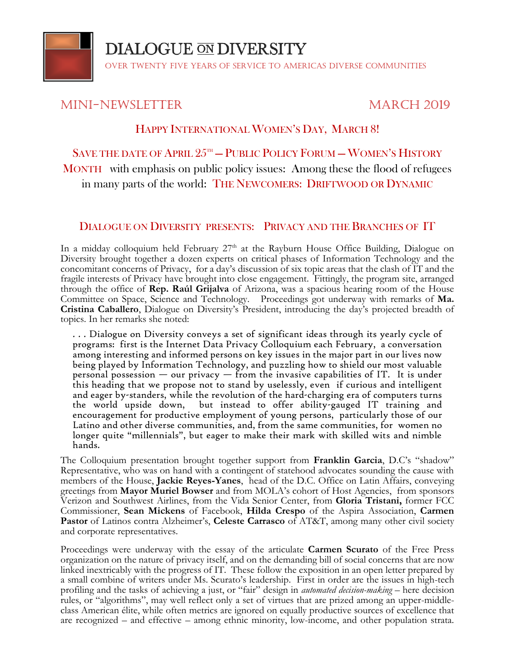

**DIALOGUE ON DIVERSITY** 

Over Twenty Five Years of Service to Americas Diverse Communities

## Mini-Newsletter March 2019

## HAPPY INTERNATIONAL WOMEN'S DAY, MARCH 8!

SAVE THE DATE OF APRIL  $25^{\text{th}}$  – PUBLIC POLICY FORUM – WOMEN'S HISTORY MONTH with emphasis on public policy issues: Among these the flood of refugees in many parts of the world: THE NEWCOMERS: DRIFTWOOD OR DYNAMIC

## DIALOGUE ON DIVERSITY PRESENTS: PRIVACY AND THE BRANCHES OF IT

In a midday colloquium held February 27<sup>th</sup> at the Rayburn House Office Building, Dialogue on Diversity brought together a dozen experts on critical phases of Information Technology and the concomitant concerns of Privacy, for a day's discussion of six topic areas that the clash of IT and the fragile interests of Privacy have brought into close engagement. Fittingly, the program site, arranged through the office of **Rep. Raúl Grijalva** of Arizona, was a spacious hearing room of the House Committee on Space, Science and Technology. Proceedings got underway with remarks of **Ma. Cristina Caballero**, Dialogue on Diversity's President, introducing the day's projected breadth of topics. In her remarks she noted:

. . . Dialogue on Diversity conveys a set of significant ideas through its yearly cycle of programs: first is the Internet Data Privacy Colloquium each February, a conversation among interesting and informed persons on key issues in the major part in our lives now being played by Information Technology, and puzzling how to shield our most valuable personal possession  $-$  our privacy  $-$  from the invasive capabilities of IT. It is under this heading that we propose not to stand by uselessly, even if curious and intelligent and eager by-standers, while the revolution of the hard-charging era of computers turns<br>the world upside down, but instead to offer ability-gauged IT training and but instead to offer ability-gauged IT training and encouragement for productive employment of young persons, particularly those of our Latino and other diverse communities, and, from the same communities, for women no longer quite "millennials", but eager to make their mark with skilled wits and nimble hands.

The Colloquium presentation brought together support from **Franklin Garcia**, D.C's "shadow" Representative, who was on hand with a contingent of statehood advocates sounding the cause with members of the House, **Jackie Reyes-Yanes**, head of the D.C. Office on Latin Affairs, conveying greetings from **Mayor Muriel Bowser** and from MOLA's cohort of Host Agencies, from sponsors Verizon and Southwest Airlines, from the Vida Senior Center, from **Gloria Tristani,** former FCC Commissioner, **Sean Mickens** of Facebook, **Hilda Crespo** of the Aspira Association, **Carmen Pastor** of Latinos contra Alzheimer's, **Celeste Carrasco** of AT&T, among many other civil society and corporate representatives.

Proceedings were underway with the essay of the articulate **Carmen Scurato** of the Free Press organization on the nature of privacy itself, and on the demanding bill of social concerns that are now linked inextricably with the progress of IT. These follow the exposition in an open letter prepared by a small combine of writers under Ms. Scurato's leadership. First in order are the issues in high-tech profiling and the tasks of achieving a just, or "fair" design in *automated decision-making* – here decision rules, or "algorithms", may well reflect only a set of virtues that are prized among an upper-middleclass American élite, while often metrics are ignored on equally productive sources of excellence that are recognized – and effective – among ethnic minority, low-income, and other population strata.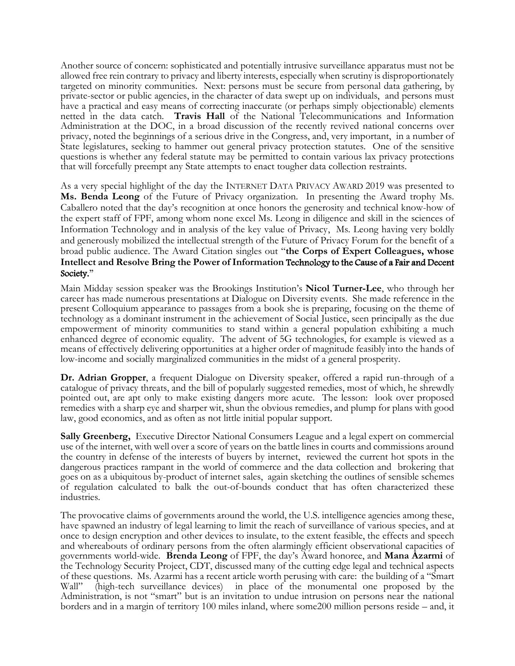Another source of concern: sophisticated and potentially intrusive surveillance apparatus must not be allowed free rein contrary to privacy and liberty interests, especially when scrutiny is disproportionately targeted on minority communities. Next: persons must be secure from personal data gathering, by private-sector or public agencies, in the character of data swept up on individuals, and persons must have a practical and easy means of correcting inaccurate (or perhaps simply objectionable) elements netted in the data catch. **Travis Hall** of the National Telecommunications and Information Administration at the DOC, in a broad discussion of the recently revived national concerns over privacy, noted the beginnings of a serious drive in the Congress, and, very important, in a number of State legislatures, seeking to hammer out general privacy protection statutes. One of the sensitive questions is whether any federal statute may be permitted to contain various lax privacy protections that will forcefully preempt any State attempts to enact tougher data collection restraints.

As a very special highlight of the day the INTERNET DATA PRIVACY AWARD 2019 was presented to **Ms. Benda Leong** of the Future of Privacy organization. In presenting the Award trophy Ms. Caballero noted that the day's recognition at once honors the generosity and technical know-how of the expert staff of FPF, among whom none excel Ms. Leong in diligence and skill in the sciences of Information Technology and in analysis of the key value of Privacy, Ms. Leong having very boldly and generously mobilized the intellectual strength of the Future of Privacy Forum for the benefit of a broad public audience. The Award Citation singles out "**the Corps of Expert Colleagues, whose Intellect and Resolve Bring the Power of Information** Technology to the Cause of a Fair and Decent Society."

Main Midday session speaker was the Brookings Institution's **Nicol Turner-Lee**, who through her career has made numerous presentations at Dialogue on Diversity events. She made reference in the present Colloquium appearance to passages from a book she is preparing, focusing on the theme of technology as a dominant instrument in the achievement of Social Justice, seen principally as the due empowerment of minority communities to stand within a general population exhibiting a much enhanced degree of economic equality. The advent of 5G technologies, for example is viewed as a means of effectively delivering opportunities at a higher order of magnitude feasibly into the hands of low-income and socially marginalized communities in the midst of a general prosperity.

**Dr. Adrian Gropper**, a frequent Dialogue on Diversity speaker, offered a rapid run-through of a catalogue of privacy threats, and the bill of popularly suggested remedies, most of which, he shrewdly pointed out, are apt only to make existing dangers more acute. The lesson: look over proposed remedies with a sharp eye and sharper wit, shun the obvious remedies, and plump for plans with good law, good economics, and as often as not little initial popular support.

**Sally Greenberg,** Executive Director National Consumers League and a legal expert on commercial use of the internet, with well over a score of years on the battle lines in courts and commissions around the country in defense of the interests of buyers by internet, reviewed the current hot spots in the dangerous practices rampant in the world of commerce and the data collection and brokering that goes on as a ubiquitous by-product of internet sales, again sketching the outlines of sensible schemes of regulation calculated to balk the out-of-bounds conduct that has often characterized these industries.

The provocative claims of governments around the world, the U.S. intelligence agencies among these, have spawned an industry of legal learning to limit the reach of surveillance of various species, and at once to design encryption and other devices to insulate, to the extent feasible, the effects and speech and whereabouts of ordinary persons from the often alarmingly efficient observational capacities of governments world-wide. **Brenda Leong** of FPF, the day's Award honoree, and **Mana Azarmi** of the Technology Security Project, CDT, discussed many of the cutting edge legal and technical aspects of these questions. Ms. Azarmi has a recent article worth perusing with care: the building of a "Smart Wall" (high-tech surveillance devices) in place of the monumental one proposed by the Administration, is not "smart" but is an invitation to undue intrusion on persons near the national borders and in a margin of territory 100 miles inland, where some200 million persons reside – and, it